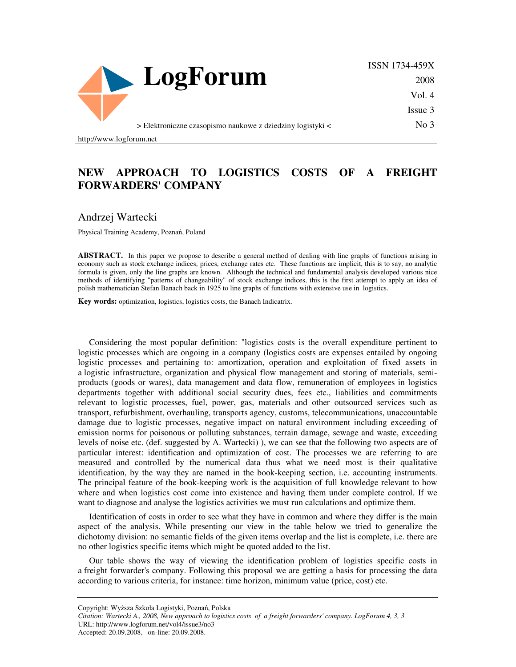

ISSN 1734-459X 2008 Vol. 4 Issue 3

No 3

> Elektroniczne czasopismo naukowe z dziedziny logistyki <

http://www.logforum.net

## **NEW APPROACH TO LOGISTICS COSTS OF A FREIGHT FORWARDERS' COMPANY**

Andrzej Wartecki

Physical Training Academy, Poznań, Poland

**ABSTRACT.** In this paper we propose to describe a general method of dealing with line graphs of functions arising in economy such as stock exchange indices, prices, exchange rates etc. These functions are implicit, this is to say, no analytic formula is given, only the line graphs are known. Although the technical and fundamental analysis developed various nice methods of identifying "patterns of changeability" of stock exchange indices, this is the first attempt to apply an idea of polish mathematician Stefan Banach back in 1925 to line graphs of functions with extensive use in logistics.

**Key words:** optimization, logistics, logistics costs, the Banach Indicatrix.

Considering the most popular definition: "logistics costs is the overall expenditure pertinent to logistic processes which are ongoing in a company (logistics costs are expenses entailed by ongoing logistic processes and pertaining to: amortization, operation and exploitation of fixed assets in a logistic infrastructure, organization and physical flow management and storing of materials, semiproducts (goods or wares), data management and data flow, remuneration of employees in logistics departments together with additional social security dues, fees etc., liabilities and commitments relevant to logistic processes, fuel, power, gas, materials and other outsourced services such as transport, refurbishment, overhauling, transports agency, customs, telecommunications, unaccountable damage due to logistic processes, negative impact on natural environment including exceeding of emission norms for poisonous or polluting substances, terrain damage, sewage and waste, exceeding levels of noise etc. (def. suggested by A. Wartecki) ), we can see that the following two aspects are of particular interest: identification and optimization of cost. The processes we are referring to are measured and controlled by the numerical data thus what we need most is their qualitative identification, by the way they are named in the book-keeping section, i.e. accounting instruments. The principal feature of the book-keeping work is the acquisition of full knowledge relevant to how where and when logistics cost come into existence and having them under complete control. If we want to diagnose and analyse the logistics activities we must run calculations and optimize them.

Identification of costs in order to see what they have in common and where they differ is the main aspect of the analysis. While presenting our view in the table below we tried to generalize the dichotomy division: no semantic fields of the given items overlap and the list is complete, i.e. there are no other logistics specific items which might be quoted added to the list.

Our table shows the way of viewing the identification problem of logistics specific costs in a freight forwarder's company. Following this proposal we are getting a basis for processing the data according to various criteria, for instance: time horizon, minimum value (price, cost) etc.

Copyright: Wyższa Szkoła Logistyki, Poznań, Polska

Accepted: 20.09.2008, on-line: 20.09.2008.

*Citation: Wartecki A., 2008, New approach to logistics costs of a freight forwarders' company. LogForum 4, 3, 3*  URL: http://www.logforum.net/vol4/issue3/no3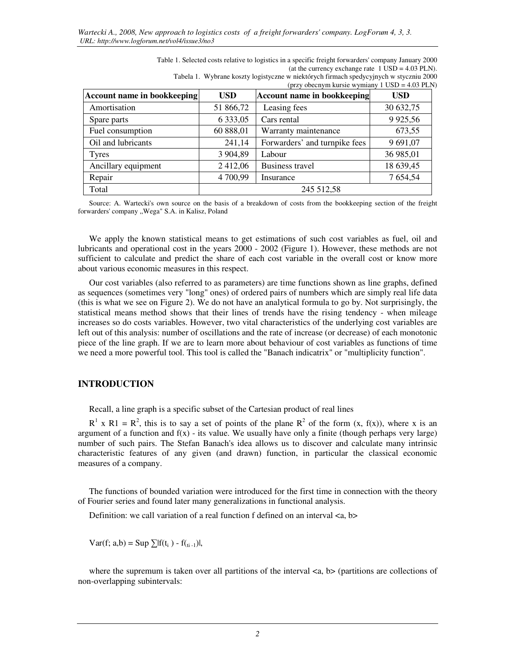| Table 1. Selected costs relative to logistics in a specific freight forwarders' company January 2000 |
|------------------------------------------------------------------------------------------------------|
| (at the currency exchange rate $1$ USD = 4.03 PLN).                                                  |
| Tabela 1. Wybrane koszty logistyczne w niektórych firmach spedycyjnych w styczniu 2000               |

| (przy obecnym kursie wymiany 1 USD = 4.03 PLN) |               |                                    |            |  |  |  |  |  |
|------------------------------------------------|---------------|------------------------------------|------------|--|--|--|--|--|
| <b>Account name in bookkeeping</b>             | <b>USD</b>    | <b>Account name in bookkeeping</b> | <b>USD</b> |  |  |  |  |  |
| Amortisation                                   | 51 866,72     | Leasing fees                       | 30 632,75  |  |  |  |  |  |
| Spare parts                                    | 6 3 3 3 , 0 5 | Cars rental                        | 9 9 25, 56 |  |  |  |  |  |
| Fuel consumption                               | 60 888,01     | Warranty maintenance               | 673,55     |  |  |  |  |  |
| Oil and lubricants                             | 241,14        | Forwarders' and turnpike fees      | 9 691,07   |  |  |  |  |  |
| <b>Tyres</b>                                   | 3 904,89      | Labour                             | 36 985,01  |  |  |  |  |  |
| Ancillary equipment                            | 2412,06       | <b>Business travel</b>             | 18 639,45  |  |  |  |  |  |
| Repair                                         | 4 700,99      | Insurance                          | 7 654,54   |  |  |  |  |  |
| Total                                          |               | 245 512,58                         |            |  |  |  |  |  |

Source: A. Wartecki's own source on the basis of a breakdown of costs from the bookkeeping section of the freight forwarders' company "Wega" S.A. in Kalisz, Poland

We apply the known statistical means to get estimations of such cost variables as fuel, oil and lubricants and operational cost in the years 2000 - 2002 (Figure 1). However, these methods are not sufficient to calculate and predict the share of each cost variable in the overall cost or know more about various economic measures in this respect.

Our cost variables (also referred to as parameters) are time functions shown as line graphs, defined as sequences (sometimes very "long" ones) of ordered pairs of numbers which are simply real life data (this is what we see on Figure 2). We do not have an analytical formula to go by. Not surprisingly, the statistical means method shows that their lines of trends have the rising tendency - when mileage increases so do costs variables. However, two vital characteristics of the underlying cost variables are left out of this analysis: number of oscillations and the rate of increase (or decrease) of each monotonic piece of the line graph. If we are to learn more about behaviour of cost variables as functions of time we need a more powerful tool. This tool is called the "Banach indicatrix" or "multiplicity function".

## **INTRODUCTION**

Recall, a line graph is a specific subset of the Cartesian product of real lines

 $R^1$  x  $R1 = R^2$ , this is to say a set of points of the plane  $R^2$  of the form  $(x, f(x))$ , where x is an argument of a function and  $f(x)$  - its value. We usually have only a finite (though perhaps very large) number of such pairs. The Stefan Banach's idea allows us to discover and calculate many intrinsic characteristic features of any given (and drawn) function, in particular the classical economic measures of a company.

The functions of bounded variation were introduced for the first time in connection with the theory of Fourier series and found later many generalizations in functional analysis.

Definition: we call variation of a real function f defined on an interval  $\langle a, b \rangle$ 

 $Var(f; a,b) = Sup \sum |f(t_i) - f(t_{i-1})|,$ 

where the supremum is taken over all partitions of the interval  $\langle a, b \rangle$  (partitions are collections of non-overlapping subintervals: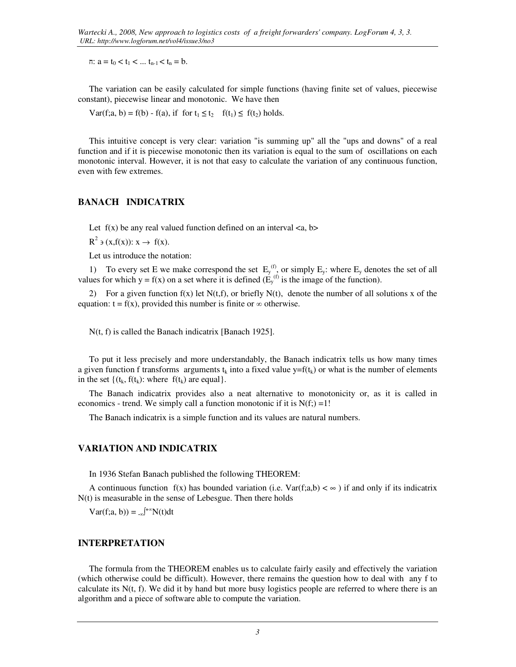$\pi$ :  $a = t_0 < t_1 < ... t_{n-1} < t_n = b$ .

The variation can be easily calculated for simple functions (having finite set of values, piecewise constant), piecewise linear and monotonic. We have then

 $Var(f; a, b) = f(b) - f(a)$ , if for  $t_1 \le t_2$   $f(t_1) \le f(t_2)$  holds.

This intuitive concept is very clear: variation "is summing up" all the "ups and downs" of a real function and if it is piecewise monotonic then its variation is equal to the sum of oscillations on each monotonic interval. However, it is not that easy to calculate the variation of any continuous function, even with few extremes.

## **BANACH INDICATRIX**

Let  $f(x)$  be any real valued function defined on an interval  $\langle a, b \rangle$ 

 $R^2 \ni (x, f(x)) : x \to f(x).$ 

Let us introduce the notation:

1) To every set E we make correspond the set  $E_y^{(f)}$ , or simply  $E_y$ : where  $E_y$  denotes the set of all values for which  $y = f(x)$  on a set where it is defined  $(E_y^{(f)}$  is the image of the function).

2) For a given function  $f(x)$  let  $N(t,f)$ , or briefly  $N(t)$ , denote the number of all solutions x of the equation:  $t = f(x)$ , provided this number is finite or  $\infty$  otherwise.

N(t, f) is called the Banach indicatrix [Banach 1925].

To put it less precisely and more understandably, the Banach indicatrix tells us how many times a given function f transforms arguments  $t_k$  into a fixed value  $y=f(t_k)$  or what is the number of elements in the set  $\{(t_k, f(t_k))\}$ : where  $f(t_k)$  are equal.

The Banach indicatrix provides also a neat alternative to monotonicity or, as it is called in economics - trend. We simply call a function monotonic if it is  $N(f) = 1!$ 

The Banach indicatrix is a simple function and its values are natural numbers.

### **VARIATION AND INDICATRIX**

In 1936 Stefan Banach published the following THEOREM:

A continuous function  $f(x)$  has bounded variation (i.e.  $Var(f; a,b) < \infty$ ) if and only if its indicatrix N(t) is measurable in the sense of Lebesgue. Then there holds

 $Var(f; a, b)) = \int_{-\infty}^{+\infty} N(t) dt$ 

#### **INTERPRETATION**

The formula from the THEOREM enables us to calculate fairly easily and effectively the variation (which otherwise could be difficult). However, there remains the question how to deal with any f to calculate its  $N(t, f)$ . We did it by hand but more busy logistics people are referred to where there is an algorithm and a piece of software able to compute the variation.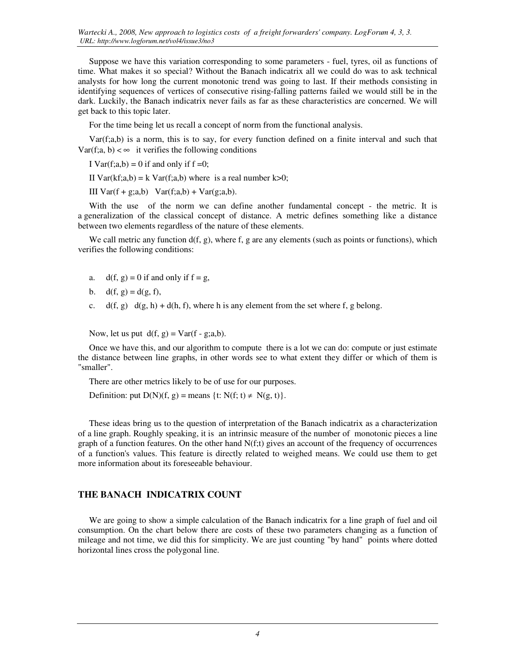Suppose we have this variation corresponding to some parameters - fuel, tyres, oil as functions of time. What makes it so special? Without the Banach indicatrix all we could do was to ask technical analysts for how long the current monotonic trend was going to last. If their methods consisting in identifying sequences of vertices of consecutive rising-falling patterns failed we would still be in the dark. Luckily, the Banach indicatrix never fails as far as these characteristics are concerned. We will get back to this topic later.

For the time being let us recall a concept of norm from the functional analysis.

Var(f;a,b) is a norm, this is to say, for every function defined on a finite interval and such that  $Var(f; a, b) < \infty$  it verifies the following conditions

I Var $(f; a,b) = 0$  if and only if  $f = 0$ ;

II Var(kf;a,b) = k Var(f;a,b) where is a real number k>0;

III  $Var(f + g; a,b)$   $Var(f; a,b) + Var(g; a,b)$ .

With the use of the norm we can define another fundamental concept - the metric. It is a generalization of the classical concept of distance. A metric defines something like a distance between two elements regardless of the nature of these elements.

We call metric any function  $d(f, g)$ , where f, g are any elements (such as points or functions), which verifies the following conditions:

- a.  $d(f, g) = 0$  if and only if  $f = g$ ,
- b.  $d(f, g) = d(g, f)$ ,
- c.  $d(f, g) \, d(g, h) + d(h, f)$ , where h is any element from the set where f, g belong.

Now, let us put  $d(f, g) = Var(f - g; a, b)$ .

Once we have this, and our algorithm to compute there is a lot we can do: compute or just estimate the distance between line graphs, in other words see to what extent they differ or which of them is "smaller".

There are other metrics likely to be of use for our purposes.

Definition: put  $D(N)(f, g)$  = means  $\{t: N(f; t) \neq N(g, t)\}.$ 

These ideas bring us to the question of interpretation of the Banach indicatrix as a characterization of a line graph. Roughly speaking, it is an intrinsic measure of the number of monotonic pieces a line graph of a function features. On the other hand  $N(f; t)$  gives an account of the frequency of occurrences of a function's values. This feature is directly related to weighed means. We could use them to get more information about its foreseeable behaviour.

### **THE BANACH INDICATRIX COUNT**

We are going to show a simple calculation of the Banach indicatrix for a line graph of fuel and oil consumption. On the chart below there are costs of these two parameters changing as a function of mileage and not time, we did this for simplicity. We are just counting "by hand" points where dotted horizontal lines cross the polygonal line.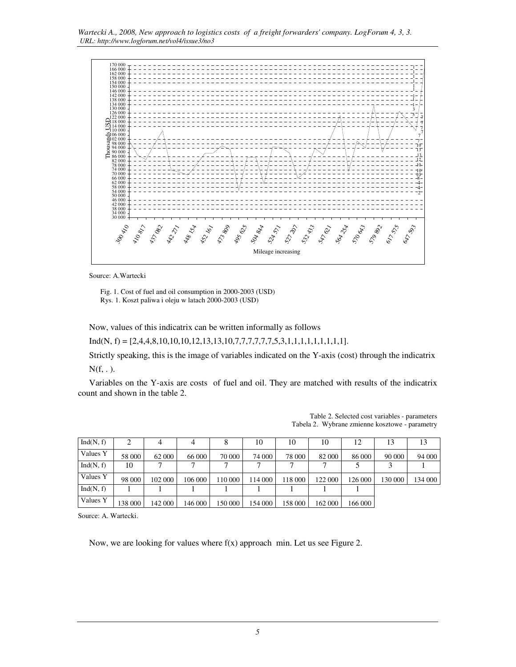

Source: A.Wartecki

 Fig. 1. Cost of fuel and oil consumption in 2000-2003 (USD) Rys. 1. Koszt paliwa i oleju w latach 2000-2003 (USD)

Now, values of this indicatrix can be written informally as follows

 $Ind(N, f) = [2, 4, 4, 8, 10, 10, 10, 12, 13, 13, 10, 7, 7, 7, 7, 7, 7, 5, 3, 1, 1, 1, 1, 1, 1, 1, 1, 1].$ 

Strictly speaking, this is the image of variables indicated on the Y-axis (cost) through the indicatrix  $N(f, .).$ 

Variables on the Y-axis are costs of fuel and oil. They are matched with results of the indicatrix count and shown in the table 2.

| Ind(N, f) | 2       |         | 4       | 8       | 10      | 10      | 10      | 12      |         | 13      |
|-----------|---------|---------|---------|---------|---------|---------|---------|---------|---------|---------|
| Values Y  | 58 000  | 62 000  | 66 000  | 70 000  | 74 000  | 78 000  | 82 000  | 86 000  | 90 000  | 94 000  |
| Ind(N, f) | 10      |         |         |         |         |         |         |         |         |         |
| Values Y  | 98 000  | 102 000 | 106 000 | 110 000 | 114 000 | 118 000 | 122 000 | 126 000 | 130 000 | 134 000 |
| Ind(N, f) |         |         |         |         |         |         |         |         |         |         |
| Values Y  | 138 000 | 142 000 | 146 000 | 150 000 | 154 000 | 158 000 | 162 000 | 166 000 |         |         |

Table 2. Selected cost variables - parameters Tabela 2. Wybrane zmienne kosztowe - parametry

Source: A. Wartecki.

Now, we are looking for values where  $f(x)$  approach min. Let us see Figure 2.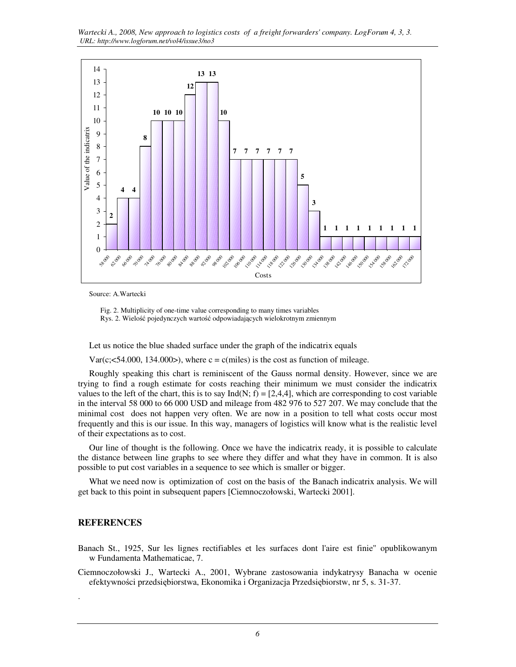*Wartecki A., 2008, New approach to logistics costs of a freight forwarders' company. LogForum 4, 3, 3. URL: http://www.logforum.net/vol4/issue3/no3* 



Source: A.Wartecki

 Fig. 2. Multiplicity of one-time value corresponding to many times variables Rys. 2. Wielość pojedynczych wartość odpowiadających wielokrotnym zmiennym

Let us notice the blue shaded surface under the graph of the indicatrix equals

 $Var(c, \leq 54.000, 134.000)$ , where  $c = c$  (miles) is the cost as function of mileage.

Roughly speaking this chart is reminiscent of the Gauss normal density. However, since we are trying to find a rough estimate for costs reaching their minimum we must consider the indicatrix values to the left of the chart, this is to say Ind(N; f) = [2,4,4], which are corresponding to cost variable in the interval 58 000 to 66 000 USD and mileage from 482 976 to 527 207. We may conclude that the minimal cost does not happen very often. We are now in a position to tell what costs occur most frequently and this is our issue. In this way, managers of logistics will know what is the realistic level of their expectations as to cost.

Our line of thought is the following. Once we have the indicatrix ready, it is possible to calculate the distance between line graphs to see where they differ and what they have in common. It is also possible to put cost variables in a sequence to see which is smaller or bigger.

What we need now is optimization of cost on the basis of the Banach indicatrix analysis. We will get back to this point in subsequent papers [Ciemnoczołowski, Wartecki 2001].

## **REFERENCES**

.

- Banach St., 1925, Sur les lignes rectifiables et les surfaces dont l'aire est finie" opublikowanym w Fundamenta Mathematicae, 7.
- Ciemnoczołowski J., Wartecki A., 2001, Wybrane zastosowania indykatrysy Banacha w ocenie efektywności przedsiębiorstwa, Ekonomika i Organizacja Przedsiębiorstw, nr 5, s. 31-37.